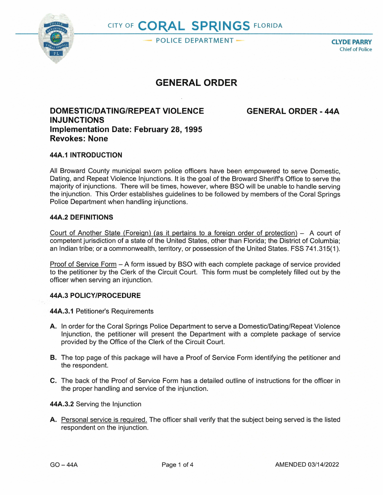

**POLICE DEPARTMENT CLYDE PARRY** 

Chief of Police

# **GENERAL ORDER**

## **DOMESTIC/DATING/REPEAT VIOLENCE GENERALORDER-44A INJUNCTIONS Implementation Date: February 28, 1995 Revokes: None**

### **44A.1 INTRODUCTION**

All Broward County municipal sworn police officers have been empowered to serve Domestic, Dating, and Repeat Violence Injunctions. It is the goal of the Broward Sheriffs Office to serve the majority of injunctions. There will be times, however, where BSO will be unable to handle serving the injunction. This Order establishes guidelines to be followed by members of the Coral Springs Police Department when handling injunctions.

#### **44A.2 DEFINITIONS**

Court of Another State (Foreign) (as it pertains to a foreign order of protection)  $-$  A court of competent jurisdiction of a state of the United States, other than Florida; the District of Columbia; an Indian tribe; or a commonwealth, territory, or possession of the United States. FSS 741.315(1 ).

Proof of Service Form - A form issued by BSO with each complete package of service provided to the petitioner by the Clerk of the Circuit Court. This form must be completely filled out by the officer when serving an injunction.

#### **44A.3 POLICY/PROCEDURE**

**44A.3.1** Petitioner's Requirements

- **A.** In order for the Coral Springs Police Department to serve a Domestic/Dating/Repeat Violence Injunction, the petitioner will present the Department with a complete package of service provided by the Office of the Clerk of the Circuit Court.
- **8.** The top page of this package will have a Proof of Service Form identifying the petitioner and the respondent.
- **C.** The back of the Proof of Service Form has a detailed outline of instructions for the officer in the proper handling and service of the injunction.

#### **44A.3.2** Serving the Injunction

**A.** Personal service is required. The officer shall verify that the subject being served is the listed respondent on the injunction.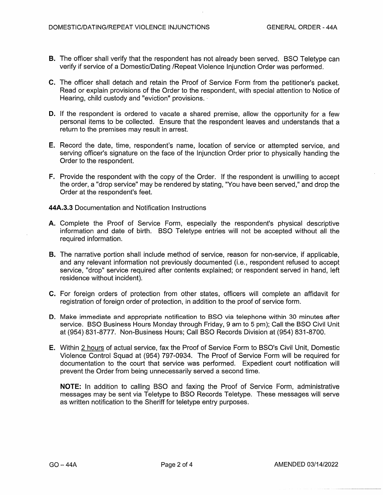- **B.** The officer shall verify that the respondent has not already been served. BSO Teletype can verify if service of a Domestic/Dating /Repeat Violence Injunction Order was performed.
- **C.** The officer shall detach and retain the Proof of Service Form from the petitioner's packet. Read or explain provisions of the Order to the respondent, with special attention to Notice of Hearing, child custody and "eviction" provisions. -
- **D.** If the respondent is ordered to vacate a shared premise, allow the opportunity for a few personal items to be collected. Ensure that the respondent leaves and understands that a return to the premises may result in arrest.
- **E.** Record the date, time, respondent's name, location of service or attempted service, and serving officer's signature on the face of the Injunction Order prior to physically handing the Order to the respondent.
- **F.** Provide the respondent with the copy of the Order. If the respondent is unwilling to accept the order, a "drop service" may be rendered by stating, "You have been served," and drop the Order at the respondent's feet.

**44A.3.3** Documentation and Notification Instructions

- **A.** Complete the Proof of Service Form, especially the respondent's physical descriptive information and date of birth. BSO Teletype entries will not be accepted without all the required information.
- **B.** The narrative portion shall include method of service, reason for non-service, if applicable, and any relevant information not previously documented (i.e., respondent refused to accept service, "drop" service required after contents explained; or respondent served in hand, left residence without incident).
- C. For foreign orders of protection from other states, officers will complete an affidavit for registration of foreign order of protection, in addition to the proof of service form.
- **D.** Make immediate and appropriate notification to BSO via telephone within 30 minutes after service. BSO Business Hours Monday through Friday, 9 am to 5 pm); Call the BSO Civil Unit at (954) 831-8777. Non-Business Hours; Call BSO Records Division at (954) 831-8700.
- **E.** Within 2 hours of actual service, fax the Proof of Service Form to BSO's Civil Unit, Domestic Violence Control Squad at (954) 797-0934. The Proof of Service Form will be required for documentation to the court that service was performed. Expedient court notification will prevent the Order from being unnecessarily served a second time.

**NOTE:** In addition to calling BSO and faxing the Proof of Service Form, administrative messages may be sent via Teletype to BSO Records Teletype. These messages will serve as written notification to the Sheriff for teletype entry purposes.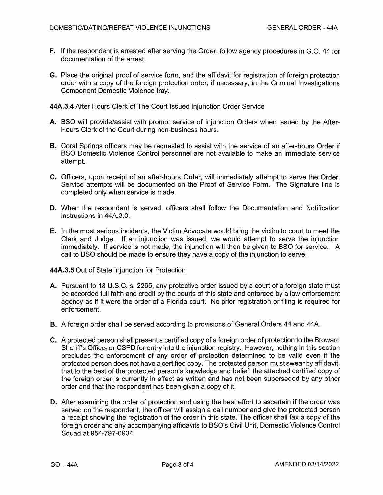- **F.** If the respondent is arrested after serving the Order, follow agency procedures in G.O. 44 for documentation of the arrest.
- **G.** Place the original proof of service form, and the affidavit for registration of foreign protection order with a copy of the foreign protection order, if necessary, in the Criminal Investigations Component Domestic Violence tray.

**44A.3.4** After Hours Clerk of The Court Issued Injunction Order Service

- **A.** BSO will provide/assist with prompt service of Injunction Orders when issued by the After-Hours Clerk of the Court during non-business hours.
- **8.** Coral Springs officers may be requested to assist with the service of an after-hours Order if BSO Domestic Violence Control personnel are not available to make an immediate service attempt.
- **C.** Officers, upon receipt of an after-hours Order, will immediately attempt to serve the Order. Service attempts will be documented on the Proof of Service Form. The Signature line is completed only when service is made.
- **D.** When the respondent is served, officers shall follow the Documentation and Notification instructions in 44A.3.3.
- **E.** In the most serious incidents, the Victim Advocate would bring the victim to court to meet the Clerk and Judge. If an injunction was issued, we would attempt to serve the injunction immediately. If service is not made, the injunction will then be given to BSO for service. A call to BSO should be made to ensure they have a copy of the injunction to serve.

**44A.3.5** Out of State Injunction for Protection

- A. Pursuant to 18 U.S.C. s. 2265, any protective order issued by a court of a foreign state must be accorded full faith and credit by the courts of this state and enforced by a law enforcement agency as if it were the order of a Florida court. No prior registration or filing is required for enforcement.
- **B.** A foreign order shall be served according to provisions of General Orders 44 and 44A.
- **C.** A protected person shall present a certified copy of a foreign order of protection to the Broward Sheriff's Office, or CSPD for entry into the injunction registry. However, nothing in this section precludes the enforcement of any order of protection determined to be valid even if the protected person does not have a certified copy. The protected person must swear by affidavit, that to the best of the protected person's knowledge and belief, the attached certified copy of the foreign order is currently in effect as written and has not been superseded by any other order and that the respondent has been given a copy of it.
- **D.** After examining the order of protection and using the best effort to ascertain if the order was served on the respondent, the officer will assign a call number and give the protected person a receipt showing the registration of the order in this state. The officer shall fax a copy of the foreign order and any accompanying affidavits to BSO's Civil Unit, Domestic Violence Control Squad at 954-797-0934.